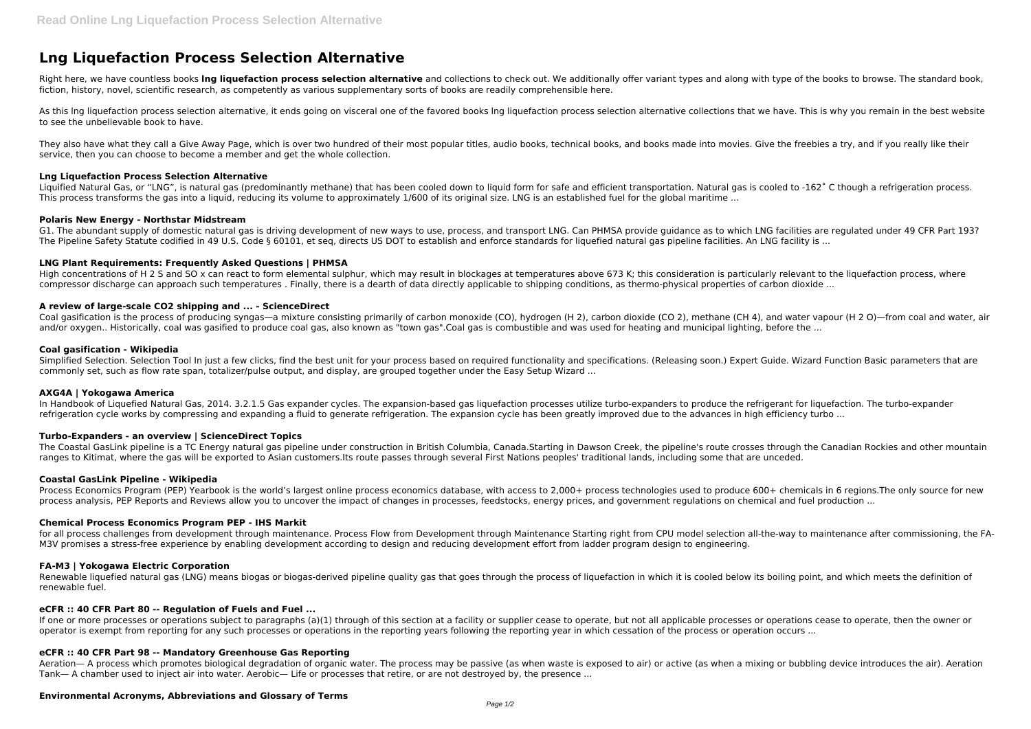# **Lng Liquefaction Process Selection Alternative**

Right here, we have countless books lng liquefaction process selection alternative and collections to check out. We additionally offer variant types and along with type of the books to browse. The standard book, fiction, history, novel, scientific research, as competently as various supplementary sorts of books are readily comprehensible here.

As this Ing liquefaction process selection alternative, it ends going on visceral one of the favored books Ing liquefaction process selection alternative collections that we have. This is why you remain in the best website to see the unbelievable book to have.

They also have what they call a Give Away Page, which is over two hundred of their most popular titles, audio books, technical books, and books made into movies. Give the freebies a try, and if you really like their service, then you can choose to become a member and get the whole collection.

Liquified Natural Gas, or "LNG", is natural gas (predominantly methane) that has been cooled down to liquid form for safe and efficient transportation. Natural gas is cooled to -162˚ C though a refrigeration process. This process transforms the gas into a liquid, reducing its volume to approximately 1/600 of its original size. LNG is an established fuel for the global maritime ...

#### **Lng Liquefaction Process Selection Alternative**

High concentrations of H 2 S and SO x can react to form elemental sulphur, which may result in blockages at temperatures above 673 K; this consideration is particularly relevant to the liquefaction process, where compressor discharge can approach such temperatures . Finally, there is a dearth of data directly applicable to shipping conditions, as thermo-physical properties of carbon dioxide ...

Coal gasification is the process of producing syngas—a mixture consisting primarily of carbon monoxide (CO), hydrogen (H 2), carbon dioxide (CO 2), methane (CH 4), and water vapour (H 2 O)—from coal and water, air and/or oxygen.. Historically, coal was gasified to produce coal gas, also known as "town gas".Coal gas is combustible and was used for heating and municipal lighting, before the ...

# **Polaris New Energy - Northstar Midstream**

G1. The abundant supply of domestic natural gas is driving development of new ways to use, process, and transport LNG. Can PHMSA provide guidance as to which LNG facilities are regulated under 49 CFR Part 193? The Pipeline Safety Statute codified in 49 U.S. Code § 60101, et seq, directs US DOT to establish and enforce standards for liquefied natural gas pipeline facilities. An LNG facility is ...

Simplified Selection. Selection Tool In just a few clicks, find the best unit for your process based on required functionality and specifications. (Releasing soon.) Expert Guide. Wizard Function Basic parameters that are commonly set, such as flow rate span, totalizer/pulse output, and display, are grouped together under the Easy Setup Wizard ...

In Handbook of Liquefied Natural Gas, 2014. 3.2.1.5 Gas expander cycles. The expansion-based gas liquefaction processes utilize turbo-expanders to produce the refrigerant for liquefaction. The turbo-expander refrigeration cycle works by compressing and expanding a fluid to generate refrigeration. The expansion cycle has been greatly improved due to the advances in high efficiency turbo ...

# **LNG Plant Requirements: Frequently Asked Questions | PHMSA**

The Coastal GasLink pipeline is a TC Energy natural gas pipeline under construction in British Columbia, Canada.Starting in Dawson Creek, the pipeline's route crosses through the Canadian Rockies and other mountain ranges to Kitimat, where the gas will be exported to Asian customers.Its route passes through several First Nations peoples' traditional lands, including some that are unceded.

for all process challenges from development through maintenance. Process Flow from Development through Maintenance Starting right from CPU model selection all-the-way to maintenance after commissioning, the FA-M3V promises a stress-free experience by enabling development according to design and reducing development effort from ladder program design to engineering.

#### **A review of large-scale CO2 shipping and ... - ScienceDirect**

Renewable liquefied natural gas (LNG) means biogas or biogas-derived pipeline quality gas that goes through the process of liquefaction in which it is cooled below its boiling point, and which meets the definition of renewable fuel.

#### **Coal gasification - Wikipedia**

If one or more processes or operations subject to paragraphs (a)(1) through of this section at a facility or supplier cease to operate, but not all applicable processes or operations cease to operate, then the owner or operator is exempt from reporting for any such processes or operations in the reporting years following the reporting year in which cessation of the process or operation occurs ...

# **AXG4A | Yokogawa America**

# **Turbo-Expanders - an overview | ScienceDirect Topics**

#### **Coastal GasLink Pipeline - Wikipedia**

Process Economics Program (PEP) Yearbook is the world's largest online process economics database, with access to 2,000+ process technologies used to produce 600+ chemicals in 6 regions.The only source for new process analysis, PEP Reports and Reviews allow you to uncover the impact of changes in processes, feedstocks, energy prices, and government regulations on chemical and fuel production ...

# **Chemical Process Economics Program PEP - IHS Markit**

# **FA-M3 | Yokogawa Electric Corporation**

#### **eCFR :: 40 CFR Part 80 -- Regulation of Fuels and Fuel ...**

# **eCFR :: 40 CFR Part 98 -- Mandatory Greenhouse Gas Reporting**

Aeration— A process which promotes biological degradation of organic water. The process may be passive (as when waste is exposed to air) or active (as when a mixing or bubbling device introduces the air). Aeration Tank— A chamber used to inject air into water. Aerobic— Life or processes that retire, or are not destroyed by, the presence ...

# **Environmental Acronyms, Abbreviations and Glossary of Terms**